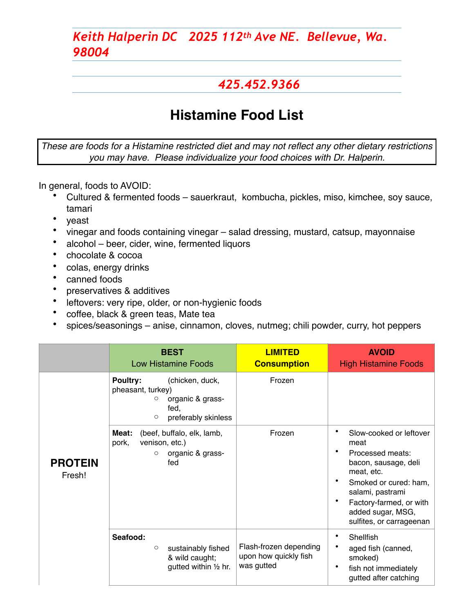#### *425.452.9366*

# **Histamine Food List**

*These are foods for a Histamine restricted diet and may not reflect any other dietary restrictions you may have. Please individualize your food choices with Dr. Halperin.*

In general, foods to AVOID:

- Cultured & fermented foods sauerkraut, kombucha, pickles, miso, kimchee, soy sauce, tamari
- veast
- vinegar and foods containing vinegar salad dressing, mustard, catsup, mayonnaise
- alcohol beer, cider, wine, fermented liquors
- chocolate & cocoa
- colas, energy drinks
- canned foods
- preservatives & additives
- leftovers: very ripe, older, or non-hygienic foods
- coffee, black & green teas, Mate tea
- spices/seasonings anise, cinnamon, cloves, nutmeg; chili powder, curry, hot peppers

|                          | <b>BEST</b><br><b>Low Histamine Foods</b>                                                                                  | <b>LIMITED</b><br><b>Consumption</b>                          | <b>AVOID</b><br><b>High Histamine Foods</b>                                                                                                                                                                             |  |
|--------------------------|----------------------------------------------------------------------------------------------------------------------------|---------------------------------------------------------------|-------------------------------------------------------------------------------------------------------------------------------------------------------------------------------------------------------------------------|--|
| <b>PROTEIN</b><br>Fresh! | <b>Poultry:</b><br>(chicken, duck,<br>pheasant, turkey)<br>organic & grass-<br>O<br>fed,<br>preferably skinless<br>$\circ$ | Frozen                                                        |                                                                                                                                                                                                                         |  |
|                          | (beef, buffalo, elk, lamb,<br>Meat:<br>venison, etc.)<br>pork,<br>organic & grass-<br>$\circ$<br>fed                       | Frozen                                                        | Slow-cooked or leftover<br>meat<br>٠<br>Processed meats:<br>bacon, sausage, deli<br>meat, etc.<br>Smoked or cured: ham,<br>salami, pastrami<br>Factory-farmed, or with<br>added sugar, MSG,<br>sulfites, or carrageenan |  |
|                          | Seafood:<br>sustainably fished<br>$\circ$<br>& wild caught;<br>gutted within 1/2 hr.                                       | Flash-frozen depending<br>upon how quickly fish<br>was gutted | ٠<br>Shellfish<br>aged fish (canned,<br>smoked)<br>٠<br>fish not immediately<br>gutted after catching                                                                                                                   |  |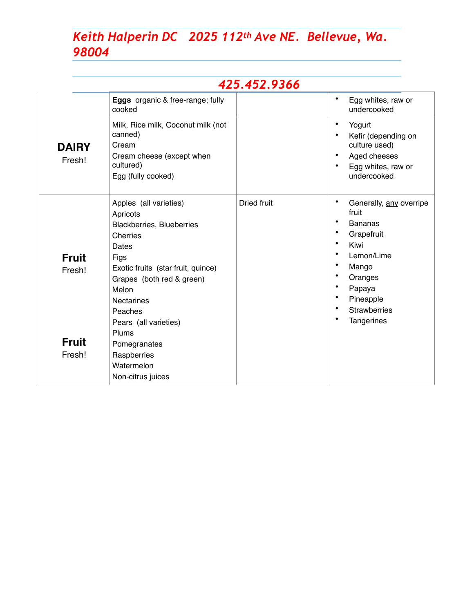|                                                  |                                                                                                                                                                                                                                                                                                                     | 425.452.9366       |                                                                                                                                                                                                                 |
|--------------------------------------------------|---------------------------------------------------------------------------------------------------------------------------------------------------------------------------------------------------------------------------------------------------------------------------------------------------------------------|--------------------|-----------------------------------------------------------------------------------------------------------------------------------------------------------------------------------------------------------------|
|                                                  | Eggs organic & free-range; fully<br>cooked                                                                                                                                                                                                                                                                          |                    | ٠<br>Egg whites, raw or<br>undercooked                                                                                                                                                                          |
| <b>DAIRY</b><br>Fresh!                           | Milk, Rice milk, Coconut milk (not<br>canned)<br>Cream<br>Cream cheese (except when<br>cultured)<br>Egg (fully cooked)                                                                                                                                                                                              |                    | $\bullet$<br>Yogurt<br>Kefir (depending on<br>$\bullet$<br>culture used)<br>Aged cheeses<br>$\bullet$<br>Egg whites, raw or<br>undercooked                                                                      |
| <b>Fruit</b><br>Fresh!<br><b>Fruit</b><br>Fresh! | Apples (all varieties)<br>Apricots<br><b>Blackberries, Blueberries</b><br>Cherries<br>Dates<br>Figs<br>Exotic fruits (star fruit, quince)<br>Grapes (both red & green)<br>Melon<br><b>Nectarines</b><br>Peaches<br>Pears (all varieties)<br>Plums<br>Pomegranates<br>Raspberries<br>Watermelon<br>Non-citrus juices | <b>Dried fruit</b> | ٠<br>Generally, any overripe<br>fruit<br>٠<br><b>Bananas</b><br>٠<br>Grapefruit<br>$\bullet$<br>Kiwi<br>Lemon/Lime<br>Mango<br>Oranges<br>Papaya<br>Pineapple<br><b>Strawberries</b><br>$\bullet$<br>Tangerines |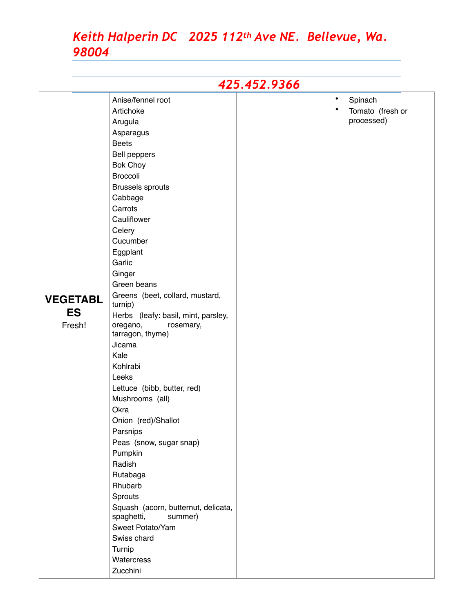| 425.452.9366                           |                                                                                                                                                                                                                                                                                                                                                                                                                                                                                                                                                                                                                                                                                                                                                           |  |                                                                     |  |
|----------------------------------------|-----------------------------------------------------------------------------------------------------------------------------------------------------------------------------------------------------------------------------------------------------------------------------------------------------------------------------------------------------------------------------------------------------------------------------------------------------------------------------------------------------------------------------------------------------------------------------------------------------------------------------------------------------------------------------------------------------------------------------------------------------------|--|---------------------------------------------------------------------|--|
| <b>VEGETABL</b><br><b>ES</b><br>Fresh! | Anise/fennel root<br>Artichoke<br>Arugula<br>Asparagus<br><b>Beets</b><br>Bell peppers<br><b>Bok Choy</b><br>Broccoli<br><b>Brussels sprouts</b><br>Cabbage<br>Carrots<br>Cauliflower<br>Celery<br>Cucumber<br>Eggplant<br>Garlic<br>Ginger<br>Green beans<br>Greens (beet, collard, mustard,<br>turnip)<br>Herbs (leafy: basil, mint, parsley,<br>oregano,<br>rosemary,<br>tarragon, thyme)<br>Jicama<br>Kale<br>Kohlrabi<br>Leeks<br>Lettuce (bibb, butter, red)<br>Mushrooms (all)<br>Okra<br>Onion (red)/Shallot<br>Parsnips<br>Peas (snow, sugar snap)<br>Pumpkin<br>Radish<br>Rutabaga<br>Rhubarb<br>Sprouts<br>Squash (acorn, butternut, delicata,<br>spaghetti,<br>summer)<br>Sweet Potato/Yam<br>Swiss chard<br>Turnip<br>Watercress<br>Zucchini |  | $\bullet$<br>Spinach<br>$\bullet$<br>Tomato (fresh or<br>processed) |  |